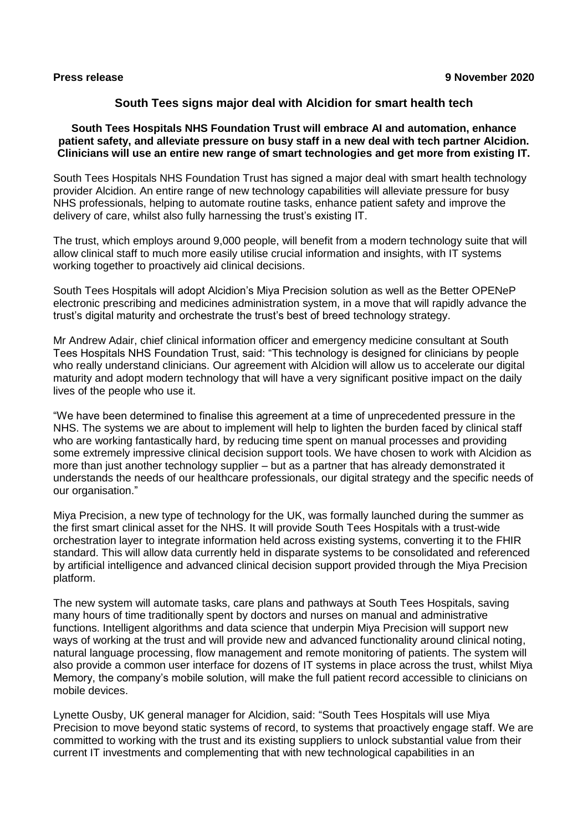# **South Tees signs major deal with Alcidion for smart health tech**

### **South Tees Hospitals NHS Foundation Trust will embrace AI and automation, enhance patient safety, and alleviate pressure on busy staff in a new deal with tech partner Alcidion. Clinicians will use an entire new range of smart technologies and get more from existing IT.**

South Tees Hospitals NHS Foundation Trust has signed a major deal with smart health technology provider Alcidion. An entire range of new technology capabilities will alleviate pressure for busy NHS professionals, helping to automate routine tasks, enhance patient safety and improve the delivery of care, whilst also fully harnessing the trust's existing IT.

The trust, which employs around 9,000 people, will benefit from a modern technology suite that will allow clinical staff to much more easily utilise crucial information and insights, with IT systems working together to proactively aid clinical decisions.

South Tees Hospitals will adopt Alcidion's Miya Precision solution as well as the Better OPENeP electronic prescribing and medicines administration system, in a move that will rapidly advance the trust's digital maturity and orchestrate the trust's best of breed technology strategy.

Mr Andrew Adair, chief clinical information officer and emergency medicine consultant at South Tees Hospitals NHS Foundation Trust, said: "This technology is designed for clinicians by people who really understand clinicians. Our agreement with Alcidion will allow us to accelerate our digital maturity and adopt modern technology that will have a very significant positive impact on the daily lives of the people who use it.

"We have been determined to finalise this agreement at a time of unprecedented pressure in the NHS. The systems we are about to implement will help to lighten the burden faced by clinical staff who are working fantastically hard, by reducing time spent on manual processes and providing some extremely impressive clinical decision support tools. We have chosen to work with Alcidion as more than just another technology supplier – but as a partner that has already demonstrated it understands the needs of our healthcare professionals, our digital strategy and the specific needs of our organisation."

Miya Precision, a new type of technology for the UK, was formally launched during the summer as the first smart clinical asset for the NHS. It will provide South Tees Hospitals with a trust-wide orchestration layer to integrate information held across existing systems, converting it to the FHIR standard. This will allow data currently held in disparate systems to be consolidated and referenced by artificial intelligence and advanced clinical decision support provided through the Miya Precision platform.

The new system will automate tasks, care plans and pathways at South Tees Hospitals, saving many hours of time traditionally spent by doctors and nurses on manual and administrative functions. Intelligent algorithms and data science that underpin Miya Precision will support new ways of working at the trust and will provide new and advanced functionality around clinical noting, natural language processing, flow management and remote monitoring of patients. The system will also provide a common user interface for dozens of IT systems in place across the trust, whilst Miya Memory, the company's mobile solution, will make the full patient record accessible to clinicians on mobile devices.

Lynette Ousby, UK general manager for Alcidion, said: "South Tees Hospitals will use Miya Precision to move beyond static systems of record, to systems that proactively engage staff. We are committed to working with the trust and its existing suppliers to unlock substantial value from their current IT investments and complementing that with new technological capabilities in an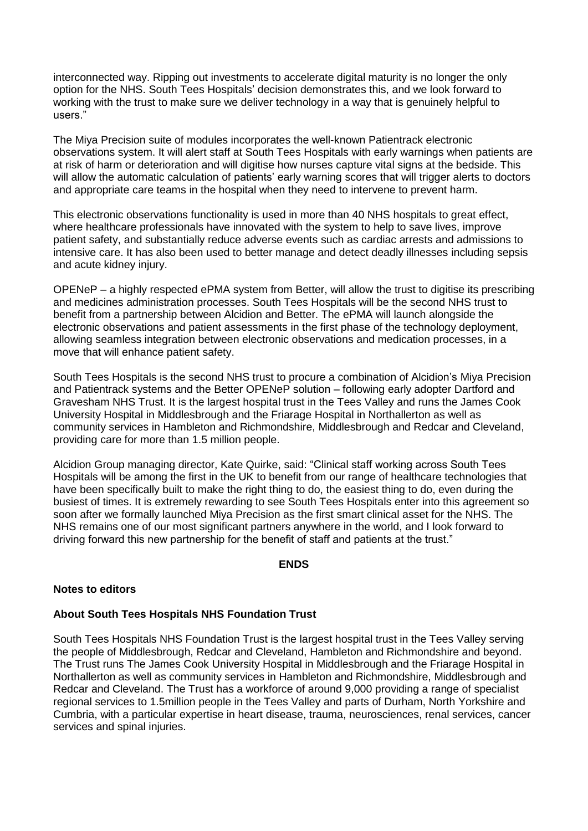interconnected way. Ripping out investments to accelerate digital maturity is no longer the only option for the NHS. South Tees Hospitals' decision demonstrates this, and we look forward to working with the trust to make sure we deliver technology in a way that is genuinely helpful to users."

The Miya Precision suite of modules incorporates the well-known Patientrack electronic observations system. It will alert staff at South Tees Hospitals with early warnings when patients are at risk of harm or deterioration and will digitise how nurses capture vital signs at the bedside. This will allow the automatic calculation of patients' early warning scores that will trigger alerts to doctors and appropriate care teams in the hospital when they need to intervene to prevent harm.

This electronic observations functionality is used in more than 40 NHS hospitals to great effect, where healthcare professionals have innovated with the system to help to save lives, improve patient safety, and substantially reduce adverse events such as cardiac arrests and admissions to intensive care. It has also been used to better manage and detect deadly illnesses including sepsis and acute kidney injury.

OPENeP – a highly respected ePMA system from Better, will allow the trust to digitise its prescribing and medicines administration processes. South Tees Hospitals will be the second NHS trust to benefit from a partnership between Alcidion and Better. The ePMA will launch alongside the electronic observations and patient assessments in the first phase of the technology deployment, allowing seamless integration between electronic observations and medication processes, in a move that will enhance patient safety.

South Tees Hospitals is the second NHS trust to procure a combination of Alcidion's Miya Precision and Patientrack systems and the Better OPENeP solution – following early adopter Dartford and Gravesham NHS Trust. It is the largest hospital trust in the Tees Valley and runs the James Cook University Hospital in Middlesbrough and the Friarage Hospital in Northallerton as well as community services in Hambleton and Richmondshire, Middlesbrough and Redcar and Cleveland, providing care for more than 1.5 million people.

Alcidion Group managing director, Kate Quirke, said: "Clinical staff working across South Tees Hospitals will be among the first in the UK to benefit from our range of healthcare technologies that have been specifically built to make the right thing to do, the easiest thing to do, even during the busiest of times. It is extremely rewarding to see South Tees Hospitals enter into this agreement so soon after we formally launched Miya Precision as the first smart clinical asset for the NHS. The NHS remains one of our most significant partners anywhere in the world, and I look forward to driving forward this new partnership for the benefit of staff and patients at the trust."

#### **ENDS**

# **Notes to editors**

# **About South Tees Hospitals NHS Foundation Trust**

South Tees Hospitals NHS Foundation Trust is the largest hospital trust in the Tees Valley serving the people of Middlesbrough, Redcar and Cleveland, Hambleton and Richmondshire and beyond. The Trust runs The James Cook University Hospital in Middlesbrough and the Friarage Hospital in Northallerton as well as community services in Hambleton and Richmondshire, Middlesbrough and Redcar and Cleveland. The Trust has a workforce of around 9,000 providing a range of specialist regional services to 1.5million people in the Tees Valley and parts of Durham, North Yorkshire and Cumbria, with a particular expertise in heart disease, trauma, neurosciences, renal services, cancer services and spinal injuries.